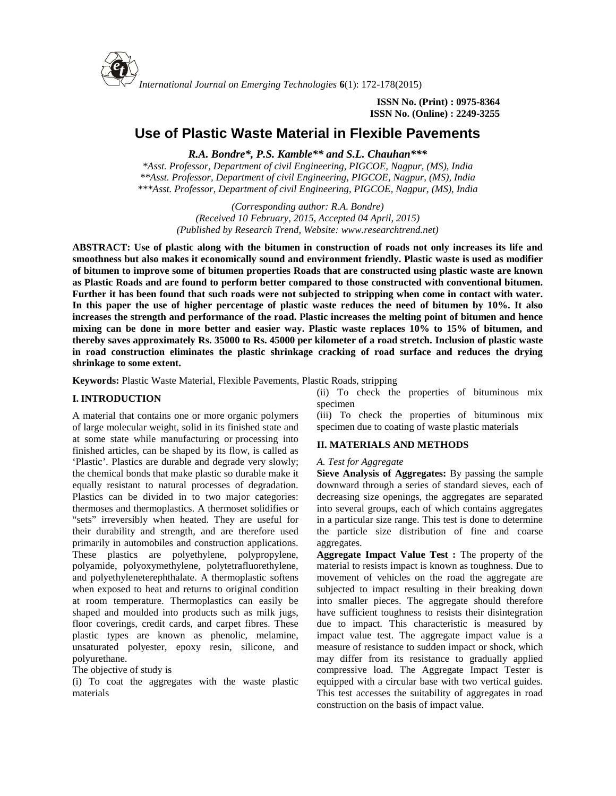

**ISSN No. (Print) : 0975-8364 ISSN No. (Online) : 2249-3255**

# **Use of Plastic Waste Material in Flexible Pavements**

*R.A. Bondre\*, P.S. Kamble\*\* and S.L. Chauhan\*\*\**

*\*Asst. Professor, Department of civil Engineering, PIGCOE, Nagpur, (MS), India \*\*Asst. Professor, Department of civil Engineering, PIGCOE, Nagpur, (MS), India \*\*\*Asst. Professor, Department of civil Engineering, PIGCOE, Nagpur, (MS), India*

> *(Corresponding author: R.A. Bondre) (Received 10 February, 2015, Accepted 04 April, 2015) (Published by Research Trend, Website: [www.researchtrend.net\)](www.researchtrend.net)*

**ABSTRACT: Use of plastic along with the bitumen in construction of roads not only increases its life and smoothness but also makes it economically sound and environment friendly. Plastic waste is used as modifier of bitumen to improve some of bitumen properties Roads that are constructed using plastic waste are known as Plastic Roads and are found to perform better compared to those constructed with conventional bitumen. Further it has been found that such roads were not subjected to stripping when come in contact with water. In this paper the use of higher percentage of plastic waste reduces the need of bitumen by 10%. It also increases the strength and performance of the road. Plastic increases the melting point of bitumen and hence mixing can be done in more better and easier way. Plastic waste replaces 10% to 15% of bitumen, and thereby saves approximately Rs. 35000 to Rs. 45000 per kilometer of a road stretch. Inclusion of plastic waste in road construction eliminates the plastic shrinkage cracking of road surface and reduces the drying shrinkage to some extent.**

**Keywords:** Plastic Waste Material, Flexible Pavements, Plastic Roads, stripping

### **I. INTRODUCTION**

A material that contains one or more organic polymers of large molecular weight, solid in its finished state and at some state while manufacturing or processing into finished articles, can be shaped by its flow, is called as 'Plastic'. Plastics are durable and degrade very slowly; the chemical bonds that make plastic so durable make it equally resistant to natural processes of degradation. Plastics can be divided in to two major categories: thermoses and thermoplastics. A thermoset solidifies or "sets" irreversibly when heated. They are useful for their durability and strength, and are therefore used primarily in automobiles and construction applications. These plastics are polyethylene, polypropylene, polyamide, polyoxymethylene, polytetrafluorethylene, and polyethyleneterephthalate. A thermoplastic softens when exposed to heat and returns to original condition at room temperature. Thermoplastics can easily be shaped and moulded into products such as milk jugs, floor coverings, credit cards, and carpet fibres. These plastic types are known as phenolic, melamine, unsaturated polyester, epoxy resin, silicone, and polyurethane.

The objective of study is

(i) To coat the aggregates with the waste plastic materials

(ii) To check the properties of bituminous mix specimen

(iii) To check the properties of bituminous mix specimen due to coating of waste plastic materials

#### **II. MATERIALS AND METHODS**

#### *A. Test for Aggregate*

**Sieve Analysis of Aggregates:** By passing the sample downward through a series of standard sieves, each of decreasing size openings, the aggregates are separated into several groups, each of which contains aggregates in a particular size range. This test is done to determine the particle size distribution of fine and coarse aggregates.

**Aggregate Impact Value Test :** The property of the material to resists impact is known as toughness. Due to movement of vehicles on the road the aggregate are subjected to impact resulting in their breaking down into smaller pieces. The aggregate should therefore have sufficient toughness to resists their disintegration due to impact. This characteristic is measured by impact value test. The aggregate impact value is a measure of resistance to sudden impact or shock, which may differ from its resistance to gradually applied compressive load. The Aggregate Impact Tester is equipped with a circular base with two vertical guides. This test accesses the suitability of aggregates in road construction on the basis of impact value.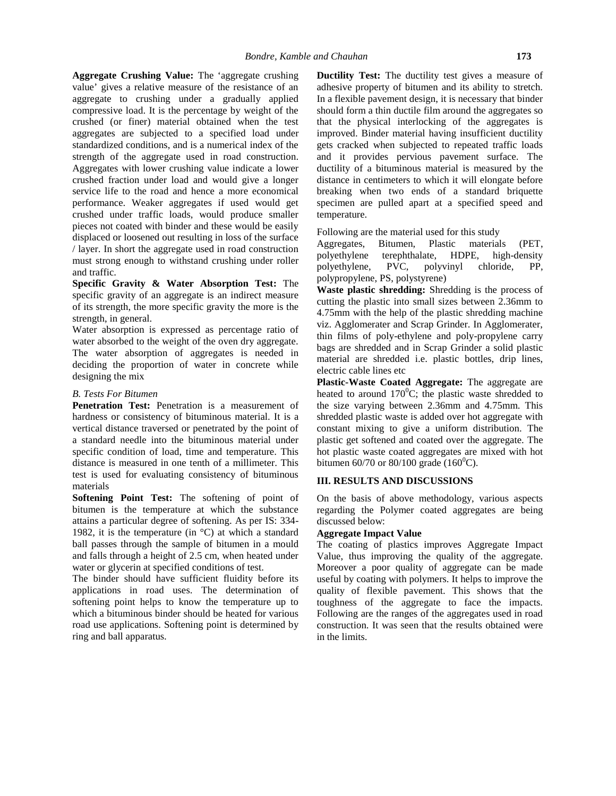**Aggregate Crushing Value:** The 'aggregate crushing value' gives a relative measure of the resistance of an aggregate to crushing under a gradually applied compressive load. It is the percentage by weight of the crushed (or finer) material obtained when the test aggregates are subjected to a specified load under standardized conditions, and is a numerical index of the strength of the aggregate used in road construction. Aggregates with lower crushing value indicate a lower crushed fraction under load and would give a longer service life to the road and hence a more economical performance. Weaker aggregates if used would get crushed under traffic loads, would produce smaller pieces not coated with binder and these would be easily displaced or loosened out resulting in loss of the surface<br>Aggregates, A layer. In short the aggregate used in road construction regglegates, must strong enough to withstand crushing under roller and traffic.

**Specific Gravity & Water Absorption Test:** The specific gravity of an aggregate is an indirect measure of its strength, the more specific gravity the more is the strength, in general.

Water absorption is expressed as percentage ratio of water absorbed to the weight of the oven dry aggregate. The water absorption of aggregates is needed in deciding the proportion of water in concrete while designing the mix

#### *B. Tests For Bitumen*

**Penetration Test:** Penetration is a measurement of hardness or consistency of bituminous material. It is a vertical distance traversed or penetrated by the point of a standard needle into the bituminous material under specific condition of load, time and temperature. This distance is measured in one tenth of a millimeter. This test is used for evaluating consistency of bituminous materials

**Softening Point Test:** The softening of point of bitumen is the temperature at which the substance attains a particular degree of softening. As per IS: 334- 1982, it is the temperature (in  $\mathrm{^{\circ}C}$ ) at which a standard ball passes through the sample of bitumen in a mould and falls through a height of 2.5 cm, when heated under water or glycerin at specified conditions of test.

The binder should have sufficient fluidity before its applications in road uses. The determination of softening point helps to know the temperature up to which a bituminous binder should be heated for various road use applications. Softening point is determined by ring and ball apparatus.

**Ductility Test:** The ductility test gives a measure of adhesive property of bitumen and its ability to stretch. In a flexible pavement design, it is necessary that binder should form a thin ductile film around the aggregates so that the physical interlocking of the aggregates is improved. Binder material having insufficient ductility gets cracked when subjected to repeated traffic loads and it provides pervious pavement surface. The ductility of a bituminous material is measured by the distance in centimeters to which it will elongate before breaking when two ends of a standard briquette specimen are pulled apart at a specified speed and temperature.

Following are the material used for this study

Bitumen, Plastic materials (PET, terephthalate, HDPE, high-density<br>PVC, polyvinyl chloride, PP. polyethylene, PVC, polyvinyl chloride, PP, polypropylene, PS, polystyrene)

**Waste plastic shredding:** Shredding is the process of cutting the plastic into small sizes between 2.36mm to 4.75mm with the help of the plastic shredding machine viz. Agglomerater and Scrap Grinder. In Agglomerater, thin films of poly-ethylene and poly-propylene carry bags are shredded and in Scrap Grinder a solid plastic material are shredded i.e. plastic bottles, drip lines, electric cable lines etc

**Plastic-Waste Coated Aggregate:** The aggregate are heated to around  $170^{\circ}$ C; the plastic waste shredded to the size varying between 2.36mm and 4.75mm. This shredded plastic waste is added over hot aggregate with constant mixing to give a uniform distribution. The plastic get softened and coated over the aggregate. The hot plastic waste coated aggregates are mixed with hot bitumen 60/70 or 80/100 grade (160 $^0$ C).

## **III. RESULTS AND DISCUSSIONS**

On the basis of above methodology, various aspects regarding the Polymer coated aggregates are being discussed below:

### **Aggregate Impact Value**

The coating of plastics improves Aggregate Impact Value, thus improving the quality of the aggregate. Moreover a poor quality of aggregate can be made useful by coating with polymers. It helps to improve the quality of flexible pavement. This shows that the toughness of the aggregate to face the impacts. Following are the ranges of the aggregates used in road construction. It was seen that the results obtained were in the limits.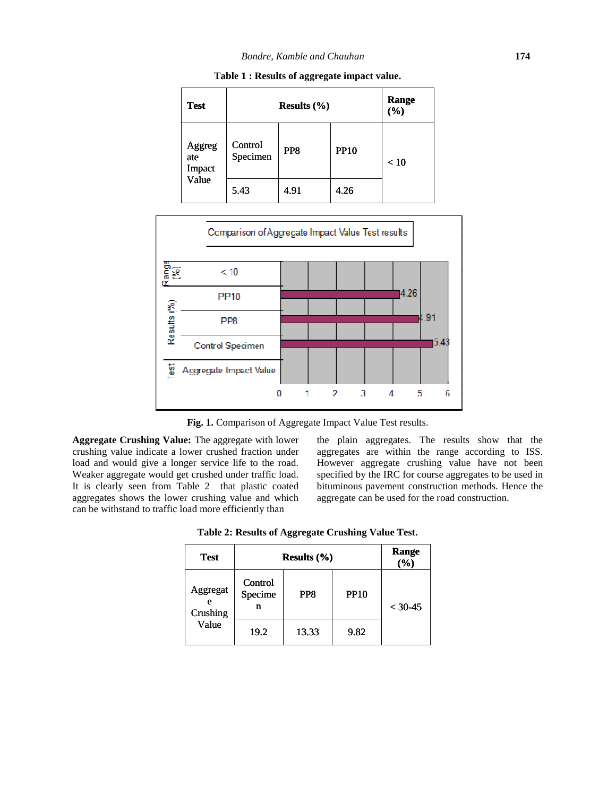| <b>Test</b>             |                     | <b>Range</b><br>$(\%)$ |             |      |  |
|-------------------------|---------------------|------------------------|-------------|------|--|
| Aggreg<br>ate<br>Impact | Control<br>Specimen | PP <sub>8</sub>        | <b>PP10</b> | < 10 |  |
| Value                   | 5.43                | 4.91                   | 4.26        |      |  |

**Table 1 : Results of aggregate impact value.**



**Fig. 1.** Comparison of Aggregate Impact Value Test results.

**Aggregate Crushing Value:** The aggregate with lower crushing value indicate a lower crushed fraction under load and would give a longer service life to the road. Weaker aggregate would get crushed under traffic load. It is clearly seen from Table 2 that plastic coated aggregates shows the lower crushing value and which can be withstand to traffic load more efficiently than

the plain aggregates. The results show that the aggregates are within the range according to ISS. However aggregate crushing value have not been specified by the IRC for course aggregates to be used in bituminous pavement construction methods. Hence the aggregate can be used for the road construction. specified by the IRC for course aggregates<br>bituminous pavement construction method<br>aggregate can be used for the road construc

|                      | ger service life to the road.<br>et crushed under traffic load.<br>able 2 that plastic coated<br>r crushing value and which<br>oad more efficiently than<br>Table 2: Results of Aggregate Crushing Value Test. |       |             |              | However aggregate crushing value have r<br>specified by the IRC for course aggregates to b<br>bituminous pavement construction methods. H<br>aggregate can be used for the road construction |  |
|----------------------|----------------------------------------------------------------------------------------------------------------------------------------------------------------------------------------------------------------|-------|-------------|--------------|----------------------------------------------------------------------------------------------------------------------------------------------------------------------------------------------|--|
| <b>Test</b>          | Results $(\% )$                                                                                                                                                                                                |       |             | Range<br>(%) |                                                                                                                                                                                              |  |
| Aggregat<br>Crushing | Control<br>Specime<br>n                                                                                                                                                                                        | PP8   | <b>PP10</b> | $< 30 - 45$  |                                                                                                                                                                                              |  |
| Value                | 19.2                                                                                                                                                                                                           | 13.33 | 9.82        |              |                                                                                                                                                                                              |  |

**Table 2: Results of Aggregate Crushing Value Test. Results of**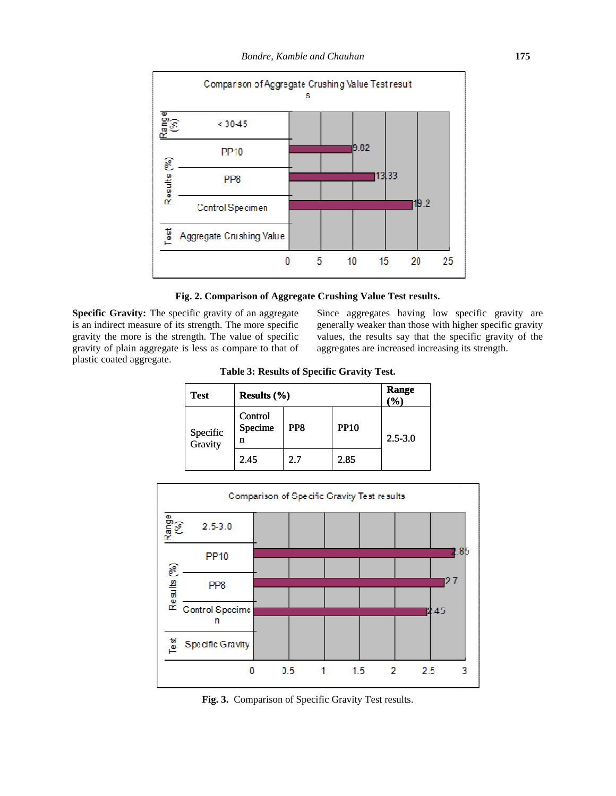

#### **Fig. 2. Comparison of Aggregate Crushing Value Test results.**

**Specific Gravity:** The specific gravity of an aggregate is an indirect measure of its strength. The more specific gravity the more is the strength. The value of specific gravity of plain aggregate is less as compare to that of plastic coated aggregate. **Fig. 2. Comparison of Aggregate Crushing Value Test results.**<br>**Since aggregates** having low specific gravity are an indirect measure of its strength. The more specific enerally weaker than those with higher specific gravi

Since aggregates having low specific gravity are generally weaker than those with higher specific gravity values, the results say that the specific gravity of the aggregates are increased increasing its strength.

| <b>Test</b>         | Results $(\% )$         |                 |             | Range<br>$(\%)$ |  |
|---------------------|-------------------------|-----------------|-------------|-----------------|--|
| Specific<br>Gravity | Control<br>Specime<br>n | PP <sub>8</sub> | <b>PP10</b> | $2.5 - 3.0$     |  |
|                     | 2.45                    | 2.7             | 2.85        |                 |  |

**Table 3: Results of Specific Gravity Test. Table Results Gravity Test.**



Fig. 3. Comparison of Specific Gravity Test results.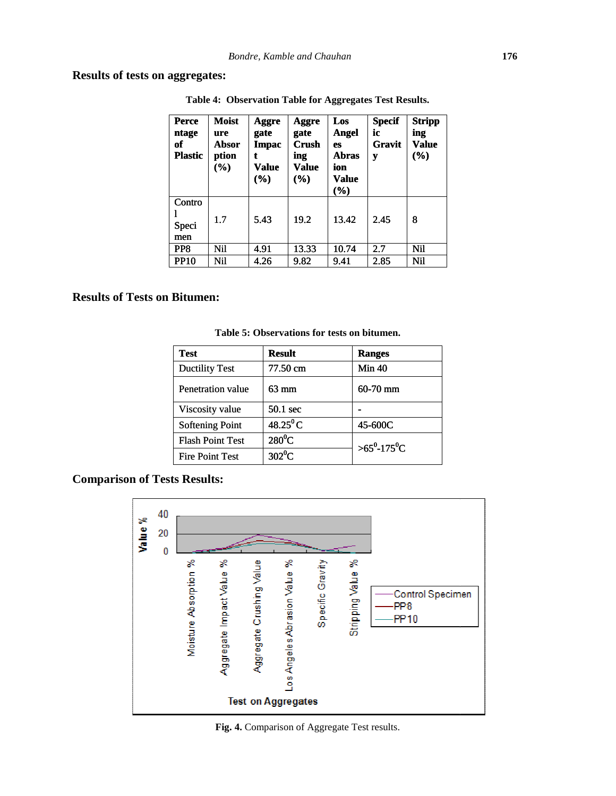**Results of tests on aggregates:**

| <b>Perce</b><br>ntage<br>of<br><b>Plastic</b> | <b>Moist</b><br>ure<br>Absor<br>ption<br>$(\%)$ | Aggre<br>gate<br><b>Impac</b><br>t<br>Value<br>$(\%)$ | Aggre<br>gate<br><b>Crush</b><br>ing<br>Value<br>$(\%)$ | Los<br><b>Angel</b><br>es<br><b>Abras</b><br>ion<br>Value<br>$(\%)$ | <b>Specif</b><br>ic<br>Gravit<br>y | <b>Stripp</b><br>ing<br>Value<br>$(\%)$ |
|-----------------------------------------------|-------------------------------------------------|-------------------------------------------------------|---------------------------------------------------------|---------------------------------------------------------------------|------------------------------------|-----------------------------------------|
| Contro<br>Speci<br>men                        | 1.7                                             | 5.43                                                  | 19.2                                                    | 13.42                                                               | 2.45                               | 8                                       |
| PP8                                           | Nil                                             | 4.91                                                  | 13.33                                                   | 10.74                                                               | 2.7                                | Nil                                     |
| <b>PP10</b>                                   | Nil                                             | 4.26                                                  | 9.82                                                    | 9.41                                                                | 2.85                               | Nil                                     |
| <b>Bitumen:</b>                               |                                                 |                                                       | Table 5: Observations for tests on bitumen.             |                                                                     |                                    |                                         |

**Table 4: Observation Table for Aggregates Test Results.**

## **Results of Tests on Bitumen:**

| men                     |     |                    |                                             |       |                                 |            |
|-------------------------|-----|--------------------|---------------------------------------------|-------|---------------------------------|------------|
| PP <sub>8</sub>         | Nil | 4.91               | 13.33                                       | 10.74 | 2.7                             | <b>Nil</b> |
| <b>PP10</b>             | Nil | 4.26               | 9.82                                        | 9.41  | 2.85                            | <b>Nil</b> |
| <b>Bitumen:</b>         |     |                    | Table 5: Observations for tests on bitumen. |       |                                 |            |
| <b>Test</b>             |     | <b>Result</b>      |                                             |       | <b>Ranges</b>                   |            |
| <b>Ductility Test</b>   |     | 77.50 cm           |                                             |       | Min 40                          |            |
| Penetration value       |     | 63 mm              |                                             |       | $60 - 70$ mm                    |            |
| Viscosity value         |     | $50.1 \text{ sec}$ |                                             |       |                                 |            |
| <b>Softening Point</b>  |     | $48.25^{\circ}$ C  |                                             |       | 45-600C                         |            |
| <b>Flash Point Test</b> |     |                    | $280^0C$                                    |       | $>65^{\circ}$ -175 $^{\circ}$ C |            |
| <b>Fire Point Test</b>  |     | $302^0$ C          |                                             |       |                                 |            |

**Table 5: Observations for tests on bitumen.**

## **Comparison of Tests Results:**



**Fig. 4.** Comparison of Aggregate Test results.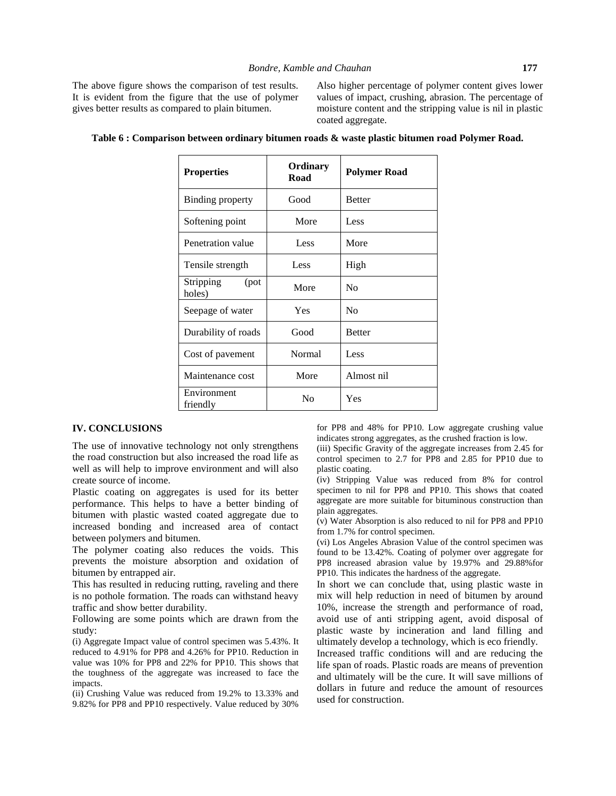The above figure shows the comparison of test results. It is evident from the figure that the use of polymer gives better results as compared to plain bitumen.

Also higher percentage of polymer content gives lower values of impact, crushing, abrasion. The percentage of moisture content and the stripping value is nil in plastic coated aggregate.

| <b>Properties</b>           | <b>Ordinary</b><br>Road | <b>Polymer Road</b> |
|-----------------------------|-------------------------|---------------------|
| Binding property            | Good                    | <b>Better</b>       |
| Softening point             | More                    | Less                |
| Penetration value           | Less                    | More                |
| Tensile strength            | Less                    | High                |
| Stripping<br>(pot<br>holes) | More                    | N <sub>0</sub>      |
| Seepage of water            | Yes                     | N <sub>0</sub>      |
| Durability of roads         | Good                    | <b>Better</b>       |
| Cost of pavement            | Normal                  | Less                |
| Maintenance cost            | More                    | Almost nil          |
| Environment<br>friendly     | N <sub>0</sub>          | Yes                 |

| Table 6 : Comparison between ordinary bitumen roads & waste plastic bitumen road Polymer Road. |  |  |
|------------------------------------------------------------------------------------------------|--|--|
|                                                                                                |  |  |

#### **IV. CONCLUSIONS**

The use of innovative technology not only strengthens the road construction but also increased the road life as well as will help to improve environment and will also create source of income.

Plastic coating on aggregates is used for its better performance. This helps to have a better binding of bitumen with plastic wasted coated aggregate due to increased bonding and increased area of contact between polymers and bitumen.

The polymer coating also reduces the voids. This prevents the moisture absorption and oxidation of bitumen by entrapped air.

This has resulted in reducing rutting, raveling and there is no pothole formation. The roads can withstand heavy traffic and show better durability.

Following are some points which are drawn from the study:

(i) Aggregate Impact value of control specimen was 5.43%. It reduced to 4.91% for PP8 and 4.26% for PP10. Reduction in value was 10% for PP8 and 22% for PP10. This shows that the toughness of the aggregate was increased to face the impacts.

(ii) Crushing Value was reduced from 19.2% to 13.33% and 9.82% for PP8 and PP10 respectively. Value reduced by 30% for PP8 and 48% for PP10. Low aggregate crushing value indicates strong aggregates, as the crushed fraction is low.

(iii) Specific Gravity of the aggregate increases from 2.45 for control specimen to 2.7 for PP8 and 2.85 for PP10 due to plastic coating.

(iv) Stripping Value was reduced from 8% for control specimen to nil for PP8 and PP10. This shows that coated aggregate are more suitable for bituminous construction than plain aggregates.

(v) Water Absorption is also reduced to nil for PP8 and PP10 from 1.7% for control specimen.

(vi) Los Angeles Abrasion Value of the control specimen was found to be 13.42%. Coating of polymer over aggregate for PP8 increased abrasion value by 19.97% and 29.88%for PP10. This indicates the hardness of the aggregate.

In short we can conclude that, using plastic waste in mix will help reduction in need of bitumen by around 10%, increase the strength and performance of road, avoid use of anti stripping agent, avoid disposal of plastic waste by incineration and land filling and ultimately develop a technology, which is eco friendly.

Increased traffic conditions will and are reducing the life span of roads. Plastic roads are means of prevention and ultimately will be the cure. It will save millions of dollars in future and reduce the amount of resources used for construction.